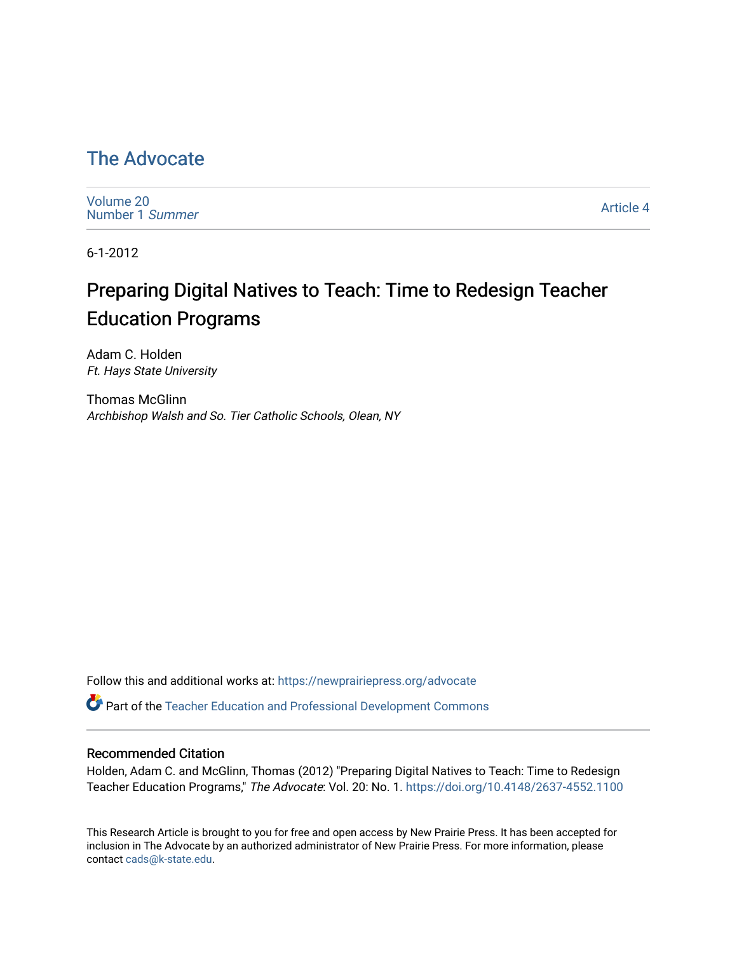## [The Advocate](https://newprairiepress.org/advocate)

[Volume 20](https://newprairiepress.org/advocate/vol20) [Number 1](https://newprairiepress.org/advocate/vol20/iss1) Summer

[Article 4](https://newprairiepress.org/advocate/vol20/iss1/4) 

6-1-2012

# Preparing Digital Natives to Teach: Time to Redesign Teacher Education Programs

Adam C. Holden Ft. Hays State University

Thomas McGlinn Archbishop Walsh and So. Tier Catholic Schools, Olean, NY

Follow this and additional works at: [https://newprairiepress.org/advocate](https://newprairiepress.org/advocate?utm_source=newprairiepress.org%2Fadvocate%2Fvol20%2Fiss1%2F4&utm_medium=PDF&utm_campaign=PDFCoverPages) 

Part of the [Teacher Education and Professional Development Commons](http://network.bepress.com/hgg/discipline/803?utm_source=newprairiepress.org%2Fadvocate%2Fvol20%2Fiss1%2F4&utm_medium=PDF&utm_campaign=PDFCoverPages) 

#### Recommended Citation

Holden, Adam C. and McGlinn, Thomas (2012) "Preparing Digital Natives to Teach: Time to Redesign Teacher Education Programs," The Advocate: Vol. 20: No. 1.<https://doi.org/10.4148/2637-4552.1100>

This Research Article is brought to you for free and open access by New Prairie Press. It has been accepted for inclusion in The Advocate by an authorized administrator of New Prairie Press. For more information, please contact [cads@k-state.edu](mailto:cads@k-state.edu).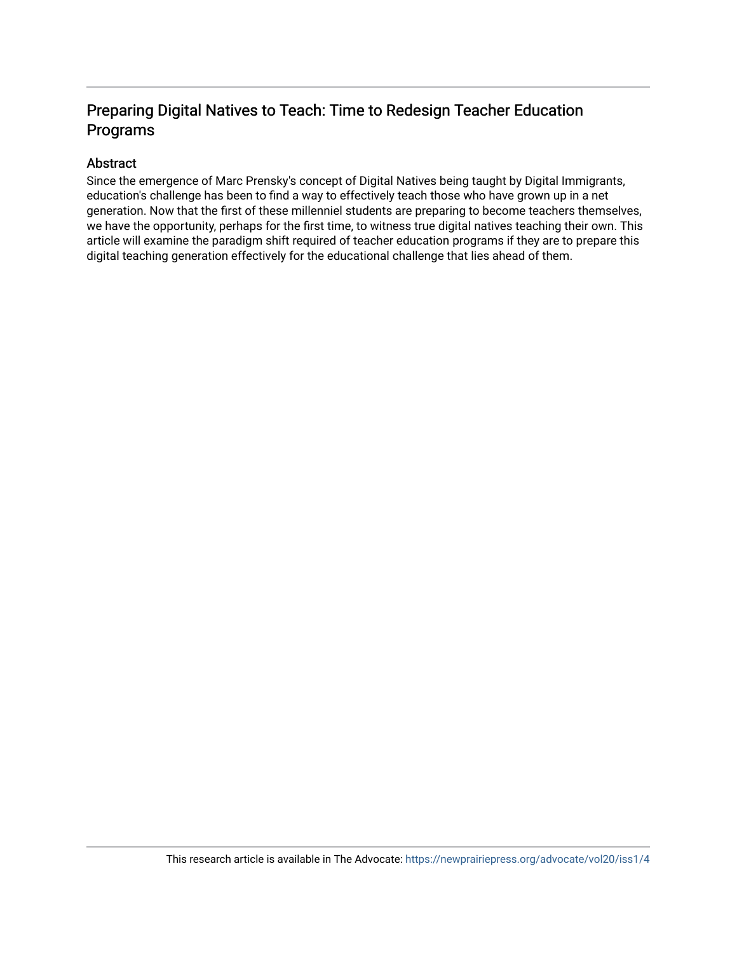## Preparing Digital Natives to Teach: Time to Redesign Teacher Education Programs

#### Abstract

Since the emergence of Marc Prensky's concept of Digital Natives being taught by Digital Immigrants, education's challenge has been to find a way to effectively teach those who have grown up in a net generation. Now that the first of these millenniel students are preparing to become teachers themselves, we have the opportunity, perhaps for the first time, to witness true digital natives teaching their own. This article will examine the paradigm shift required of teacher education programs if they are to prepare this digital teaching generation effectively for the educational challenge that lies ahead of them.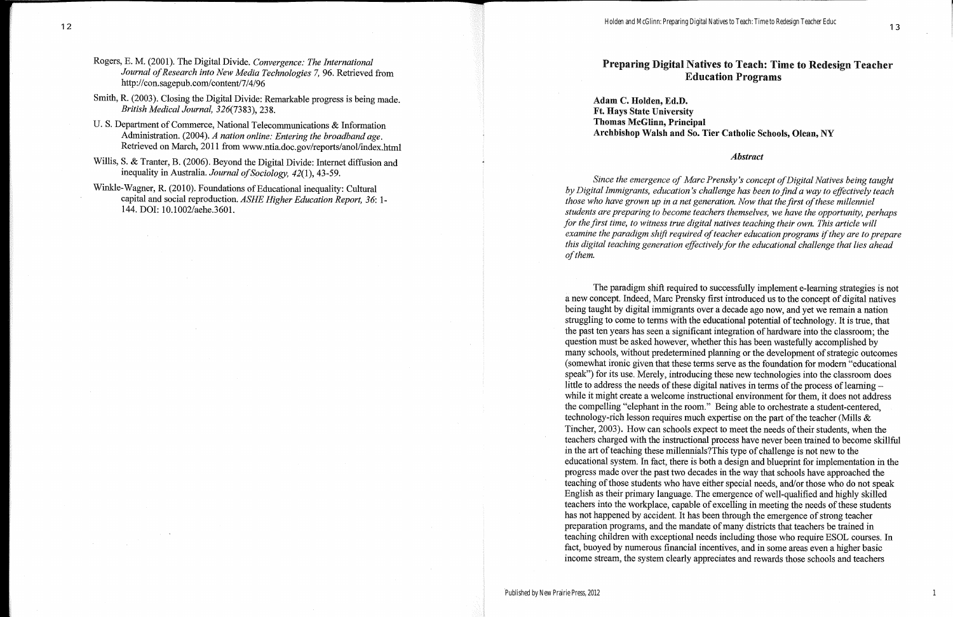### Preparing Digital Natives to Teach: Time to Redesign Teacher **Education Programs**

Adam C. Holden, Ed.D. **Ft. Hays State University Thomas McGlinn, Principal** Archbishop Walsh and So. Tier Catholic Schools, Olean, NY

#### **Abstract**

Since the emergence of Marc Prensky's concept of Digital Natives being taught by Digital Immigrants, education's challenge has been to find a way to effectively teach those who have grown up in a net generation. Now that the first of these millenniel students are preparing to become teachers themselves, we have the opportunity, perhaps for the first time, to witness true digital natives teaching their own. This article will examine the paradigm shift required of teacher education programs if they are to prepare this digital teaching generation effectively for the educational challenge that lies ahead of them.

The paradigm shift required to successfully implement e-learning strategies is not a new concept. Indeed, Marc Prensky first introduced us to the concept of digital natives being taught by digital immigrants over a decade ago now, and yet we remain a nation struggling to come to terms with the educational potential of technology. It is true, that the past ten years has seen a significant integration of hardware into the classroom; the question must be asked however, whether this has been wastefully accomplished by many schools, without predetermined planning or the development of strategic outcomes (somewhat ironic given that these terms serve as the foundation for modern "educational") speak") for its use. Merely, introducing these new technologies into the classroom does little to address the needs of these digital natives in terms of the process of learning – while it might create a welcome instructional environment for them, it does not address the compelling "elephant in the room." Being able to orchestrate a student-centered, technology-rich lesson requires much expertise on the part of the teacher (Mills & Tincher, 2003). How can schools expect to meet the needs of their students, when the teachers charged with the instructional process have never been trained to become skillful in the art of teaching these millennials? This type of challenge is not new to the educational system. In fact, there is both a design and blueprint for implementation in the progress made over the past two decades in the way that schools have approached the teaching of those students who have either special needs, and/or those who do not speak English as their primary language. The emergence of well-qualified and highly skilled teachers into the workplace, capable of excelling in meeting the needs of these students has not happened by accident. It has been through the emergence of strong teacher preparation programs, and the mandate of many districts that teachers be trained in teaching children with exceptional needs including those who require ESOL courses. In fact, buoyed by numerous financial incentives, and in some areas even a higher basic income stream, the system clearly appreciates and rewards those schools and teachers

1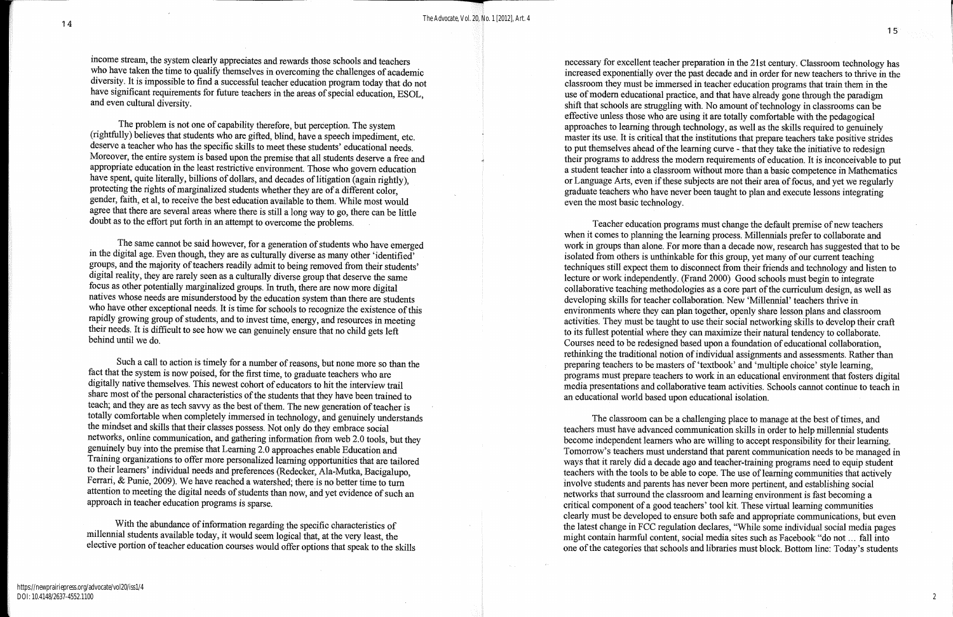income stream, the system clearly appreciates and rewards those schools and teachers who have taken the time to qualify themselves in overcoming the challenges of academic diversity. It is impossible to find a successful teacher education program today that do not have significant requirements for future teachers in the areas of special education, ESOL, and even cultural diversity.

The problem is not one of capability therefore, but perception. The system (rightfully) believes that students who are gifted, blind, have a speech impediment, etc. deserve a teacher who has the specific skills to meet these students' educational needs. Moreover, the entire system is based upon the premise that all students deserve a free and appropriate education in the least restrictive environment. Those who govern education have spent, quite literally, billions of dollars, and decades of litigation (again rightly). protecting the rights of marginalized students whether they are of a different color, gender, faith, et al, to receive the best education available to them. While most would agree that there are several areas where there is still a long way to go, there can be little doubt as to the effort put forth in an attempt to overcome the problems.

The same cannot be said however, for a generation of students who have emerged in the digital age. Even though, they are as culturally diverse as many other 'identified' groups, and the majority of teachers readily admit to being removed from their students' digital reality, they are rarely seen as a culturally diverse group that deserve the same focus as other potentially marginalized groups. In truth, there are now more digital natives whose needs are misunderstood by the education system than there are students who have other exceptional needs. It is time for schools to recognize the existence of this rapidly growing group of students, and to invest time, energy, and resources in meeting their needs. It is difficult to see how we can genuinely ensure that no child gets left behind until we do

Such a call to action is timely for a number of reasons, but none more so than the fact that the system is now poised, for the first time, to graduate teachers who are digitally native themselves. This newest cohort of educators to hit the interview trail share most of the personal characteristics of the students that they have been trained to teach; and they are as tech savvy as the best of them. The new generation of teacher is totally comfortable when completely immersed in technology, and genuinely understands the mindset and skills that their classes possess. Not only do they embrace social networks, online communication, and gathering information from web 2.0 tools, but they genuinely buy into the premise that Learning 2.0 approaches enable Education and Training organizations to offer more personalized learning opportunities that are tailored to their learners' individual needs and preferences (Redecker, Ala-Mutka, Bacigalupo, Ferrari, & Punie, 2009). We have reached a watershed; there is no better time to turn attention to meeting the digital needs of students than now, and yet evidence of such an approach in teacher education programs is sparse.

With the abundance of information regarding the specific characteristics of millennial students available today, it would seem logical that, at the very least, the elective portion of teacher education courses would offer options that speak to the skills necessary for excellent teacher preparation in the 21st century. Classroom technology has increased exponentially over the past decade and in order for new teachers to thrive in the classroom they must be immersed in teacher education programs that train them in the use of modern educational practice, and that have already gone through the paradigm shift that schools are struggling with. No amount of technology in classrooms can be effective unless those who are using it are totally comfortable with the pedagogical approaches to learning through technology, as well as the skills required to genuinely master its use. It is critical that the institutions that prepare teachers take positive strides to put themselves ahead of the learning curve - that they take the initiative to redesign their programs to address the modern requirements of education. It is inconceivable to put a student teacher into a classroom without more than a basic competence in Mathematics or Language Arts, even if these subjects are not their area of focus, and yet we regularly graduate teachers who have never been taught to plan and execute lessons integrating even the most basic technology.

Teacher education programs must change the default premise of new teachers when it comes to planning the learning process. Millennials prefer to collaborate and work in groups than alone. For more than a decade now, research has suggested that to be isolated from others is unthinkable for this group, yet many of our current teaching techniques still expect them to disconnect from their friends and technology and listen to lecture or work independently. (Frand 2000) Good schools must begin to integrate collaborative teaching methodologies as a core part of the curriculum design, as well as developing skills for teacher collaboration. New 'Millennial' teachers thrive in environments where they can plan together, openly share lesson plans and classroom activities. They must be taught to use their social networking skills to develop their craft to its fullest potential where they can maximize their natural tendency to collaborate. Courses need to be redesigned based upon a foundation of educational collaboration, rethinking the traditional notion of individual assignments and assessments. Rather than preparing teachers to be masters of 'textbook' and 'multiple choice' style learning, programs must prepare teachers to work in an educational environment that fosters digital media presentations and collaborative team activities. Schools cannot continue to teach in an educational world based upon educational isolation.

The classroom can be a challenging place to manage at the best of times, and teachers must have advanced communication skills in order to help millennial students become independent learners who are willing to accept responsibility for their learning. Tomorrow's teachers must understand that parent communication needs to be managed in ways that it rarely did a decade ago and teacher-training programs need to equip student teachers with the tools to be able to cope. The use of learning communities that actively involve students and parents has never been more pertinent, and establishing social networks that surround the classroom and learning environment is fast becoming a critical component of a good teachers' tool kit. These virtual learning communities clearly must be developed to ensure both safe and appropriate communications, but even the latest change in FCC regulation declares, "While some individual social media pages might contain harmful content, social media sites such as Facebook "do not ... fall into one of the categories that schools and libraries must block. Bottom line: Today's students

 $\overline{2}$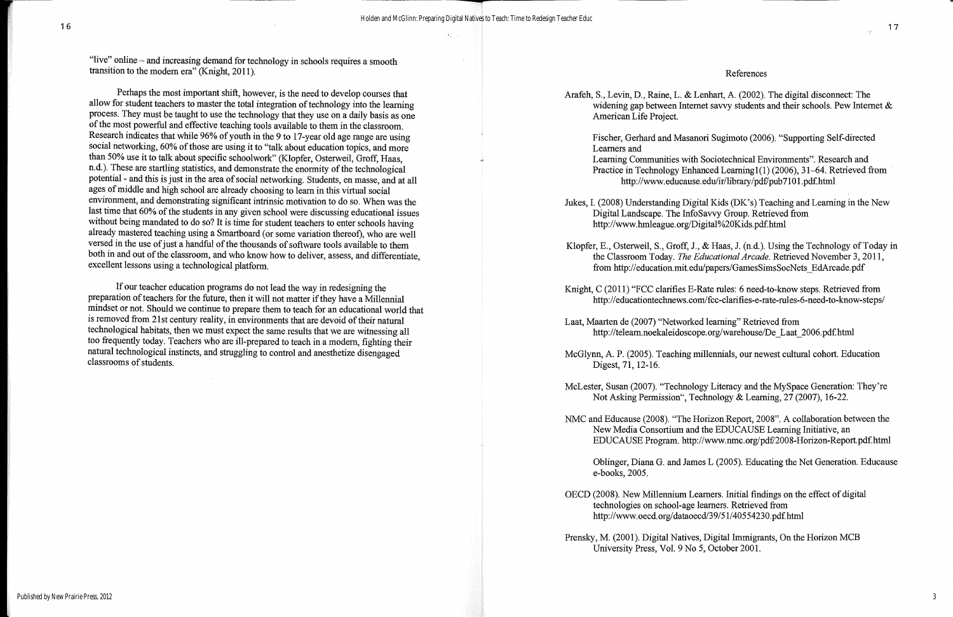$\mathcal{K}^{\mathcal{L}}_{\mathcal{L},\mathcal{L},\mathcal{L}}$ 

"live" online – and increasing demand for technology in schools requires a smooth transition to the modern era" (Knight, 2011).

Perhaps the most important shift, however, is the need to develop courses that allow for student teachers to master the total integration of technology into the learning process. They must be taught to use the technology that they use on a daily basis as one of the most powerful and effective teaching tools available to them in the classroom. Research indicates that while 96% of youth in the 9 to 17-year old age range are using social networking, 60% of those are using it to "talk about education topics, and more than 50% use it to talk about specific schoolwork" (Klopfer, Osterweil, Groff, Haas, n.d.). These are startling statistics, and demonstrate the enormity of the technological potential - and this is just in the area of social networking. Students, en masse, and at all ages of middle and high school are already choosing to learn in this virtual social environment, and demonstrating significant intrinsic motivation to do so. When was the last time that 60% of the students in any given school were discussing educational issues without being mandated to do so? It is time for student teachers to enter schools having already mastered teaching using a Smartboard (or some variation thereof), who are well versed in the use of just a handful of the thousands of software tools available to them both in and out of the classroom, and who know how to deliver, assess, and differentiate, excellent lessons using a technological platform.

If our teacher education programs do not lead the way in redesigning the preparation of teachers for the future, then it will not matter if they have a Millennial mindset or not. Should we continue to prepare them to teach for an educational world that is removed from 21st century reality, in environments that are devoid of their natural technological habitats, then we must expect the same results that we are witnessing all too frequently today. Teachers who are ill-prepared to teach in a modern, fighting their natural technological instincts, and struggling to control and anesthetize disengaged classrooms of students.

Arafeh, S., Levin, D., Raine, L. & Lenhart, A. (2002). The digital disconnect: The widening gap between Internet savvy students and their schools. Pew Internet  $\&$ American Life Project.

Learners and

Jukes, I. (2008) Understanding Digital Kids (DK's) Teaching and Learning in the New Digital Landscape. The InfoSavvy Group. Retrieved from http://www.hmleague.org/Digital%20Kids.pdf.html

Klopfer, E., Osterweil, S., Groff, J., & Haas, J. (n.d.). Using the Technology of Today in the Classroom Today. The Educational Arcade. Retrieved November 3, 2011, from http://education.mit.edu/papers/GamesSimsSocNets EdArcade.pdf

Knight, C (2011) "FCC clarifies E-Rate rules: 6 need-to-know steps. Retrieved from http://educationtechnews.com/fcc-clarifies-e-rate-rules-6-need-to-know-steps/

Laat, Maarten de (2007) "Networked learning" Retrieved from http://telearn.noekaleidoscope.org/warehouse/De Laat 2006.pdf.html

McGlynn, A. P. (2005). Teaching millennials, our newest cultural cohort. Education Digest, 71, 12-16.

McLester, Susan (2007). "Technology Literacy and the MySpace Generation: They're Not Asking Permission", Technology & Learning, 27 (2007), 16-22.

NMC and Educause (2008). "The Horizon Report, 2008". A collaboration between the New Media Consortium and the EDUCAUSE Learning Initiative, an EDUCAUSE Program. http://www.nmc.org/pdf/2008-Horizon-Report.pdf.html

e-books, 2005.

OECD (2008). New Millennium Learners. Initial findings on the effect of digital technologies on school-age learners. Retrieved from http://www.oecd.org/dataoecd/39/51/40554230.pdf.html

Prensky, M. (2001). Digital Natives, Digital Immigrants, On the Horizon MCB University Press, Vol. 9 No 5, October 2001.

#### References

Fischer, Gerhard and Masanori Sugimoto (2006). "Supporting Self-directed

Learning Communities with Sociotechnical Environments". Research and Practice in Technology Enhanced Learning1(1) (2006), 31–64. Retrieved from http://www.educause.edu/ir/library/pdf/pub7101.pdf.html

Oblinger, Diana G. and James L (2005). Educating the Net Generation. Educause